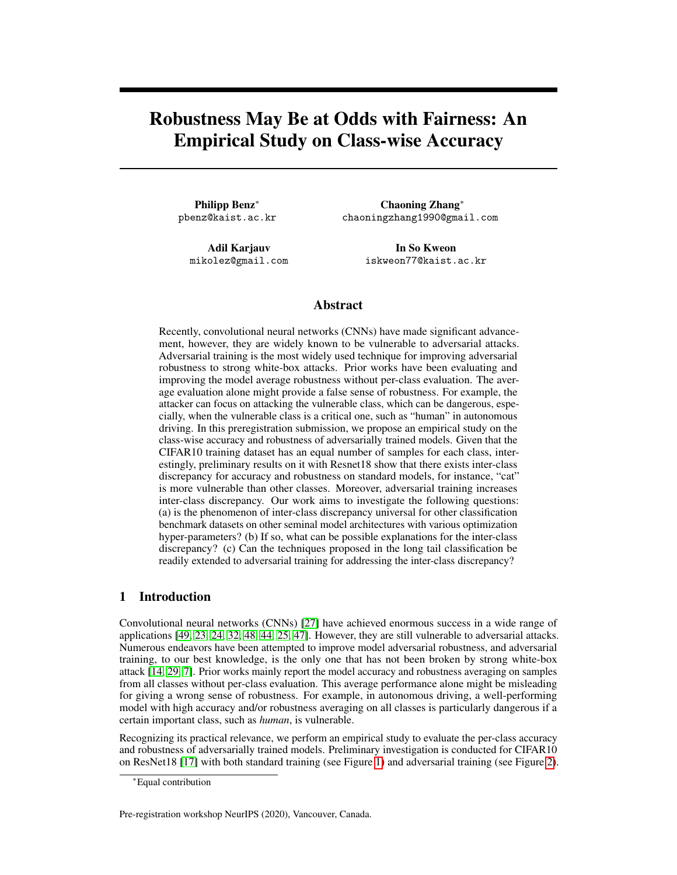# Robustness May Be at Odds with Fairness: An Empirical Study on Class-wise Accuracy

Philipp Benz<sup>∗</sup> pbenz@kaist.ac.kr

> Adil Karjauv mikolez@gmail.com

Chaoning Zhang<sup>∗</sup> chaoningzhang1990@gmail.com

> In So Kweon iskweon77@kaist.ac.kr

## Abstract

Recently, convolutional neural networks (CNNs) have made significant advancement, however, they are widely known to be vulnerable to adversarial attacks. Adversarial training is the most widely used technique for improving adversarial robustness to strong white-box attacks. Prior works have been evaluating and improving the model average robustness without per-class evaluation. The average evaluation alone might provide a false sense of robustness. For example, the attacker can focus on attacking the vulnerable class, which can be dangerous, especially, when the vulnerable class is a critical one, such as "human" in autonomous driving. In this preregistration submission, we propose an empirical study on the class-wise accuracy and robustness of adversarially trained models. Given that the CIFAR10 training dataset has an equal number of samples for each class, interestingly, preliminary results on it with Resnet18 show that there exists inter-class discrepancy for accuracy and robustness on standard models, for instance, "cat" is more vulnerable than other classes. Moreover, adversarial training increases inter-class discrepancy. Our work aims to investigate the following questions: (a) is the phenomenon of inter-class discrepancy universal for other classification benchmark datasets on other seminal model architectures with various optimization hyper-parameters? (b) If so, what can be possible explanations for the inter-class discrepancy? (c) Can the techniques proposed in the long tail classification be readily extended to adversarial training for addressing the inter-class discrepancy?

# 1 Introduction

Convolutional neural networks (CNNs) [\[27\]](#page-5-0) have achieved enormous success in a wide range of applications [\[49,](#page-6-0) [23,](#page-4-0) [24,](#page-5-1) [32,](#page-5-2) [48,](#page-6-1) [44,](#page-5-3) [25,](#page-5-4) [47\]](#page-5-5). However, they are still vulnerable to adversarial attacks. Numerous endeavors have been attempted to improve model adversarial robustness, and adversarial training, to our best knowledge, is the only one that has not been broken by strong white-box attack [\[14,](#page-4-1) [29,](#page-5-6) [7\]](#page-4-2). Prior works mainly report the model accuracy and robustness averaging on samples from all classes without per-class evaluation. This average performance alone might be misleading for giving a wrong sense of robustness. For example, in autonomous driving, a well-performing model with high accuracy and/or robustness averaging on all classes is particularly dangerous if a certain important class, such as *human*, is vulnerable.

Recognizing its practical relevance, we perform an empirical study to evaluate the per-class accuracy and robustness of adversarially trained models. Preliminary investigation is conducted for CIFAR10 on ResNet18 [\[17\]](#page-4-3) with both standard training (see Figure [1\)](#page-1-0) and adversarial training (see Figure [2\)](#page-1-1).

Pre-registration workshop NeurIPS (2020), Vancouver, Canada.

<sup>∗</sup>Equal contribution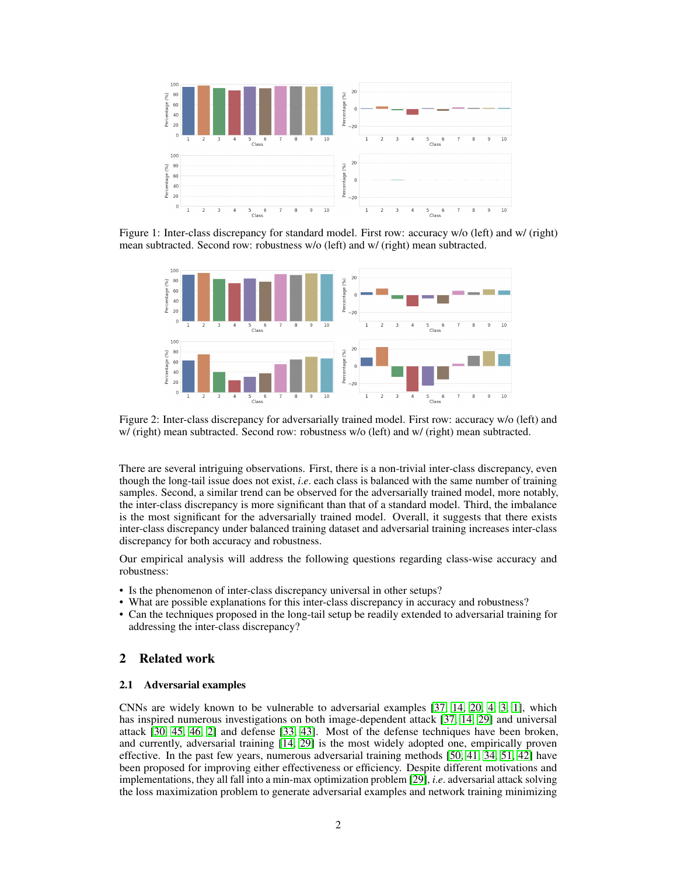<span id="page-1-0"></span>

<span id="page-1-1"></span>Figure 1: Inter-class discrepancy for standard model. First row: accuracy w/o (left) and w/ (right) mean subtracted. Second row: robustness w/o (left) and w/ (right) mean subtracted.



Figure 2: Inter-class discrepancy for adversarially trained model. First row: accuracy w/o (left) and w/ (right) mean subtracted. Second row: robustness w/o (left) and w/ (right) mean subtracted.

There are several intriguing observations. First, there is a non-trivial inter-class discrepancy, even though the long-tail issue does not exist, *i*.*e*. each class is balanced with the same number of training samples. Second, a similar trend can be observed for the adversarially trained model, more notably, the inter-class discrepancy is more significant than that of a standard model. Third, the imbalance is the most significant for the adversarially trained model. Overall, it suggests that there exists inter-class discrepancy under balanced training dataset and adversarial training increases inter-class discrepancy for both accuracy and robustness.

Our empirical analysis will address the following questions regarding class-wise accuracy and robustness:

- Is the phenomenon of inter-class discrepancy universal in other setups?
- What are possible explanations for this inter-class discrepancy in accuracy and robustness?
- Can the techniques proposed in the long-tail setup be readily extended to adversarial training for addressing the inter-class discrepancy?

# 2 Related work

## 2.1 Adversarial examples

CNNs are widely known to be vulnerable to adversarial examples [\[37,](#page-5-7) [14,](#page-4-1) [20,](#page-4-4) [4,](#page-4-5) [3,](#page-4-6) [1\]](#page-4-7), which has inspired numerous investigations on both image-dependent attack [\[37,](#page-5-7) [14,](#page-4-1) [29\]](#page-5-6) and universal attack [\[30,](#page-5-8) [45,](#page-5-9) [46,](#page-5-10) [2\]](#page-4-8) and defense [\[33,](#page-5-11) [43\]](#page-5-12). Most of the defense techniques have been broken, and currently, adversarial training [\[14,](#page-4-1) [29\]](#page-5-6) is the most widely adopted one, empirically proven effective. In the past few years, numerous adversarial training methods [\[50,](#page-6-2) [41,](#page-5-13) [34,](#page-5-14) [51,](#page-6-3) [42\]](#page-5-15) have been proposed for improving either effectiveness or efficiency. Despite different motivations and implementations, they all fall into a min-max optimization problem [\[29\]](#page-5-6), *i*.*e*. adversarial attack solving the loss maximization problem to generate adversarial examples and network training minimizing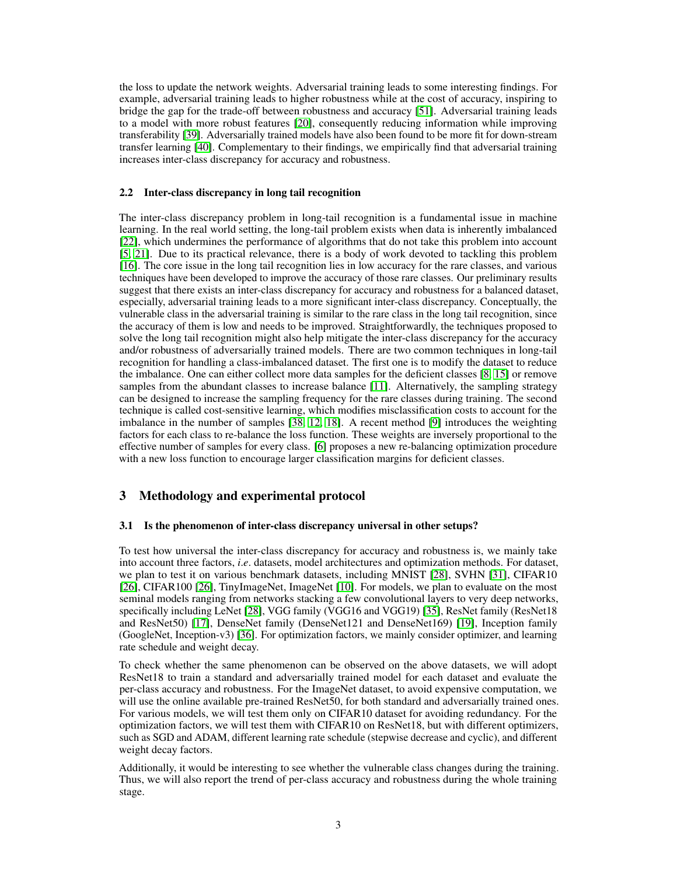the loss to update the network weights. Adversarial training leads to some interesting findings. For example, adversarial training leads to higher robustness while at the cost of accuracy, inspiring to bridge the gap for the trade-off between robustness and accuracy [\[51\]](#page-6-3). Adversarial training leads to a model with more robust features [\[20\]](#page-4-4), consequently reducing information while improving transferability [\[39\]](#page-5-16). Adversarially trained models have also been found to be more fit for down-stream transfer learning [\[40\]](#page-5-17). Complementary to their findings, we empirically find that adversarial training increases inter-class discrepancy for accuracy and robustness.

### 2.2 Inter-class discrepancy in long tail recognition

The inter-class discrepancy problem in long-tail recognition is a fundamental issue in machine learning. In the real world setting, the long-tail problem exists when data is inherently imbalanced [\[22\]](#page-4-9), which undermines the performance of algorithms that do not take this problem into account [\[5,](#page-4-10) [21\]](#page-4-11). Due to its practical relevance, there is a body of work devoted to tackling this problem [\[16\]](#page-4-12). The core issue in the long tail recognition lies in low accuracy for the rare classes, and various techniques have been developed to improve the accuracy of those rare classes. Our preliminary results suggest that there exists an inter-class discrepancy for accuracy and robustness for a balanced dataset, especially, adversarial training leads to a more significant inter-class discrepancy. Conceptually, the vulnerable class in the adversarial training is similar to the rare class in the long tail recognition, since the accuracy of them is low and needs to be improved. Straightforwardly, the techniques proposed to solve the long tail recognition might also help mitigate the inter-class discrepancy for the accuracy and/or robustness of adversarially trained models. There are two common techniques in long-tail recognition for handling a class-imbalanced dataset. The first one is to modify the dataset to reduce the imbalance. One can either collect more data samples for the deficient classes [\[8,](#page-4-13) [15\]](#page-4-14) or remove samples from the abundant classes to increase balance [\[11\]](#page-4-15). Alternatively, the sampling strategy can be designed to increase the sampling frequency for the rare classes during training. The second technique is called cost-sensitive learning, which modifies misclassification costs to account for the imbalance in the number of samples [\[38,](#page-5-18) [12,](#page-4-16) [18\]](#page-4-17). A recent method [\[9\]](#page-4-18) introduces the weighting factors for each class to re-balance the loss function. These weights are inversely proportional to the effective number of samples for every class. [\[6\]](#page-4-19) proposes a new re-balancing optimization procedure with a new loss function to encourage larger classification margins for deficient classes.

# 3 Methodology and experimental protocol

## 3.1 Is the phenomenon of inter-class discrepancy universal in other setups?

To test how universal the inter-class discrepancy for accuracy and robustness is, we mainly take into account three factors, *i*.*e*. datasets, model architectures and optimization methods. For dataset, we plan to test it on various benchmark datasets, including MNIST [\[28\]](#page-5-19), SVHN [\[31\]](#page-5-20), CIFAR10 [\[26\]](#page-5-21), CIFAR100 [\[26\]](#page-5-21), TinyImageNet, ImageNet [\[10\]](#page-4-20). For models, we plan to evaluate on the most seminal models ranging from networks stacking a few convolutional layers to very deep networks, specifically including LeNet [\[28\]](#page-5-19), VGG family (VGG16 and VGG19) [\[35\]](#page-5-22), ResNet family (ResNet18 and ResNet50) [\[17\]](#page-4-3), DenseNet family (DenseNet121 and DenseNet169) [\[19\]](#page-4-21), Inception family (GoogleNet, Inception-v3) [\[36\]](#page-5-23). For optimization factors, we mainly consider optimizer, and learning rate schedule and weight decay.

To check whether the same phenomenon can be observed on the above datasets, we will adopt ResNet18 to train a standard and adversarially trained model for each dataset and evaluate the per-class accuracy and robustness. For the ImageNet dataset, to avoid expensive computation, we will use the online available pre-trained ResNet50, for both standard and adversarially trained ones. For various models, we will test them only on CIFAR10 dataset for avoiding redundancy. For the optimization factors, we will test them with CIFAR10 on ResNet18, but with different optimizers, such as SGD and ADAM, different learning rate schedule (stepwise decrease and cyclic), and different weight decay factors.

Additionally, it would be interesting to see whether the vulnerable class changes during the training. Thus, we will also report the trend of per-class accuracy and robustness during the whole training stage.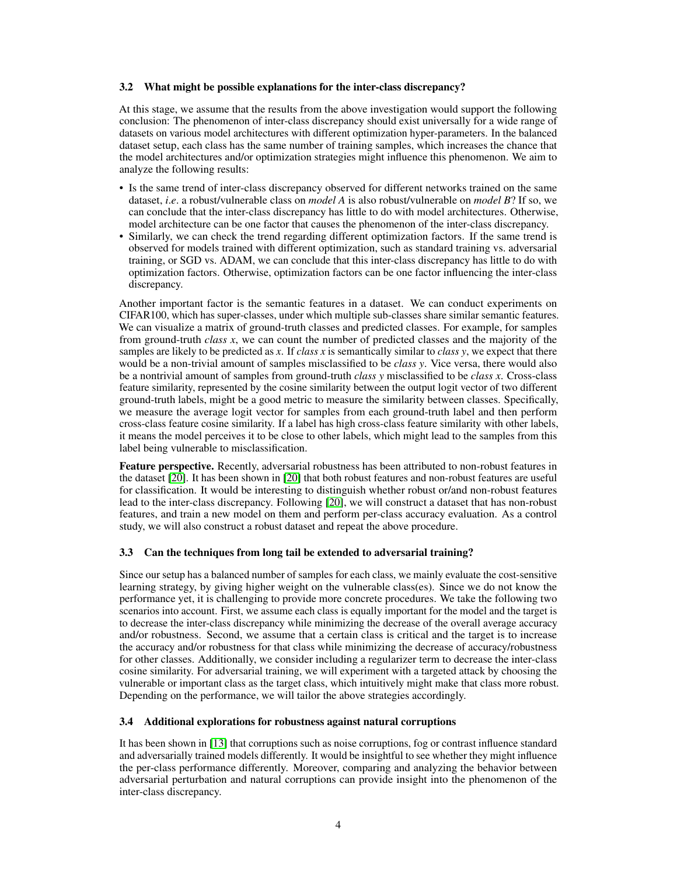### 3.2 What might be possible explanations for the inter-class discrepancy?

At this stage, we assume that the results from the above investigation would support the following conclusion: The phenomenon of inter-class discrepancy should exist universally for a wide range of datasets on various model architectures with different optimization hyper-parameters. In the balanced dataset setup, each class has the same number of training samples, which increases the chance that the model architectures and/or optimization strategies might influence this phenomenon. We aim to analyze the following results:

- Is the same trend of inter-class discrepancy observed for different networks trained on the same dataset, *i*.*e*. a robust/vulnerable class on *model A* is also robust/vulnerable on *model B*? If so, we can conclude that the inter-class discrepancy has little to do with model architectures. Otherwise, model architecture can be one factor that causes the phenomenon of the inter-class discrepancy.
- Similarly, we can check the trend regarding different optimization factors. If the same trend is observed for models trained with different optimization, such as standard training vs. adversarial training, or SGD vs. ADAM, we can conclude that this inter-class discrepancy has little to do with optimization factors. Otherwise, optimization factors can be one factor influencing the inter-class discrepancy.

Another important factor is the semantic features in a dataset. We can conduct experiments on CIFAR100, which has super-classes, under which multiple sub-classes share similar semantic features. We can visualize a matrix of ground-truth classes and predicted classes. For example, for samples from ground-truth *class x*, we can count the number of predicted classes and the majority of the samples are likely to be predicted as *x*. If *class x* is semantically similar to *class y*, we expect that there would be a non-trivial amount of samples misclassified to be *class y*. Vice versa, there would also be a nontrivial amount of samples from ground-truth *class y* misclassified to be *class x*. Cross-class feature similarity, represented by the cosine similarity between the output logit vector of two different ground-truth labels, might be a good metric to measure the similarity between classes. Specifically, we measure the average logit vector for samples from each ground-truth label and then perform cross-class feature cosine similarity. If a label has high cross-class feature similarity with other labels, it means the model perceives it to be close to other labels, which might lead to the samples from this label being vulnerable to misclassification.

Feature perspective. Recently, adversarial robustness has been attributed to non-robust features in the dataset [\[20\]](#page-4-4). It has been shown in [\[20\]](#page-4-4) that both robust features and non-robust features are useful for classification. It would be interesting to distinguish whether robust or/and non-robust features lead to the inter-class discrepancy. Following [\[20\]](#page-4-4), we will construct a dataset that has non-robust features, and train a new model on them and perform per-class accuracy evaluation. As a control study, we will also construct a robust dataset and repeat the above procedure.

## 3.3 Can the techniques from long tail be extended to adversarial training?

Since our setup has a balanced number of samples for each class, we mainly evaluate the cost-sensitive learning strategy, by giving higher weight on the vulnerable class(es). Since we do not know the performance yet, it is challenging to provide more concrete procedures. We take the following two scenarios into account. First, we assume each class is equally important for the model and the target is to decrease the inter-class discrepancy while minimizing the decrease of the overall average accuracy and/or robustness. Second, we assume that a certain class is critical and the target is to increase the accuracy and/or robustness for that class while minimizing the decrease of accuracy/robustness for other classes. Additionally, we consider including a regularizer term to decrease the inter-class cosine similarity. For adversarial training, we will experiment with a targeted attack by choosing the vulnerable or important class as the target class, which intuitively might make that class more robust. Depending on the performance, we will tailor the above strategies accordingly.

## 3.4 Additional explorations for robustness against natural corruptions

It has been shown in [\[13\]](#page-4-22) that corruptions such as noise corruptions, fog or contrast influence standard and adversarially trained models differently. It would be insightful to see whether they might influence the per-class performance differently. Moreover, comparing and analyzing the behavior between adversarial perturbation and natural corruptions can provide insight into the phenomenon of the inter-class discrepancy.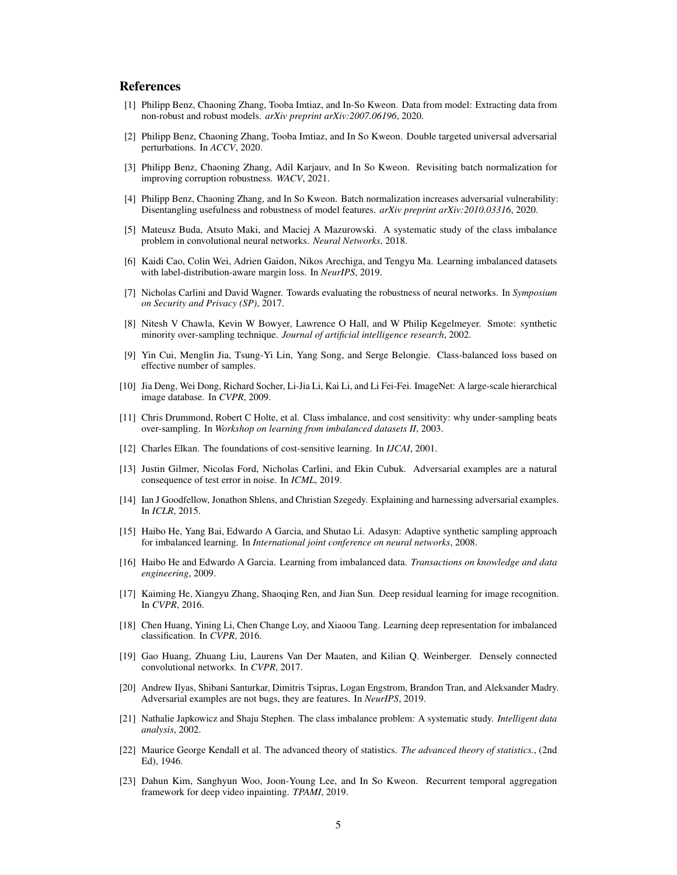## References

- <span id="page-4-7"></span>[1] Philipp Benz, Chaoning Zhang, Tooba Imtiaz, and In-So Kweon. Data from model: Extracting data from non-robust and robust models. *arXiv preprint arXiv:2007.06196*, 2020.
- <span id="page-4-8"></span>[2] Philipp Benz, Chaoning Zhang, Tooba Imtiaz, and In So Kweon. Double targeted universal adversarial perturbations. In *ACCV*, 2020.
- <span id="page-4-6"></span>[3] Philipp Benz, Chaoning Zhang, Adil Karjauv, and In So Kweon. Revisiting batch normalization for improving corruption robustness. *WACV*, 2021.
- <span id="page-4-5"></span>[4] Philipp Benz, Chaoning Zhang, and In So Kweon. Batch normalization increases adversarial vulnerability: Disentangling usefulness and robustness of model features. *arXiv preprint arXiv:2010.03316*, 2020.
- <span id="page-4-10"></span>[5] Mateusz Buda, Atsuto Maki, and Maciej A Mazurowski. A systematic study of the class imbalance problem in convolutional neural networks. *Neural Networks*, 2018.
- <span id="page-4-19"></span>[6] Kaidi Cao, Colin Wei, Adrien Gaidon, Nikos Arechiga, and Tengyu Ma. Learning imbalanced datasets with label-distribution-aware margin loss. In *NeurIPS*, 2019.
- <span id="page-4-2"></span>[7] Nicholas Carlini and David Wagner. Towards evaluating the robustness of neural networks. In *Symposium on Security and Privacy (SP)*, 2017.
- <span id="page-4-13"></span>[8] Nitesh V Chawla, Kevin W Bowyer, Lawrence O Hall, and W Philip Kegelmeyer. Smote: synthetic minority over-sampling technique. *Journal of artificial intelligence research*, 2002.
- <span id="page-4-18"></span>[9] Yin Cui, Menglin Jia, Tsung-Yi Lin, Yang Song, and Serge Belongie. Class-balanced loss based on effective number of samples.
- <span id="page-4-20"></span>[10] Jia Deng, Wei Dong, Richard Socher, Li-Jia Li, Kai Li, and Li Fei-Fei. ImageNet: A large-scale hierarchical image database. In *CVPR*, 2009.
- <span id="page-4-15"></span>[11] Chris Drummond, Robert C Holte, et al. Class imbalance, and cost sensitivity: why under-sampling beats over-sampling. In *Workshop on learning from imbalanced datasets II*, 2003.
- <span id="page-4-16"></span>[12] Charles Elkan. The foundations of cost-sensitive learning. In *IJCAI*, 2001.
- <span id="page-4-22"></span>[13] Justin Gilmer, Nicolas Ford, Nicholas Carlini, and Ekin Cubuk. Adversarial examples are a natural consequence of test error in noise. In *ICML*, 2019.
- <span id="page-4-1"></span>[14] Ian J Goodfellow, Jonathon Shlens, and Christian Szegedy. Explaining and harnessing adversarial examples. In *ICLR*, 2015.
- <span id="page-4-14"></span>[15] Haibo He, Yang Bai, Edwardo A Garcia, and Shutao Li. Adasyn: Adaptive synthetic sampling approach for imbalanced learning. In *International joint conference on neural networks*, 2008.
- <span id="page-4-12"></span>[16] Haibo He and Edwardo A Garcia. Learning from imbalanced data. *Transactions on knowledge and data engineering*, 2009.
- <span id="page-4-3"></span>[17] Kaiming He, Xiangyu Zhang, Shaoqing Ren, and Jian Sun. Deep residual learning for image recognition. In *CVPR*, 2016.
- <span id="page-4-17"></span>[18] Chen Huang, Yining Li, Chen Change Loy, and Xiaoou Tang. Learning deep representation for imbalanced classification. In *CVPR*, 2016.
- <span id="page-4-21"></span>[19] Gao Huang, Zhuang Liu, Laurens Van Der Maaten, and Kilian Q. Weinberger. Densely connected convolutional networks. In *CVPR*, 2017.
- <span id="page-4-4"></span>[20] Andrew Ilyas, Shibani Santurkar, Dimitris Tsipras, Logan Engstrom, Brandon Tran, and Aleksander Madry. Adversarial examples are not bugs, they are features. In *NeurIPS*, 2019.
- <span id="page-4-11"></span>[21] Nathalie Japkowicz and Shaju Stephen. The class imbalance problem: A systematic study. *Intelligent data analysis*, 2002.
- <span id="page-4-9"></span>[22] Maurice George Kendall et al. The advanced theory of statistics. *The advanced theory of statistics.*, (2nd Ed), 1946.
- <span id="page-4-0"></span>[23] Dahun Kim, Sanghyun Woo, Joon-Young Lee, and In So Kweon. Recurrent temporal aggregation framework for deep video inpainting. *TPAMI*, 2019.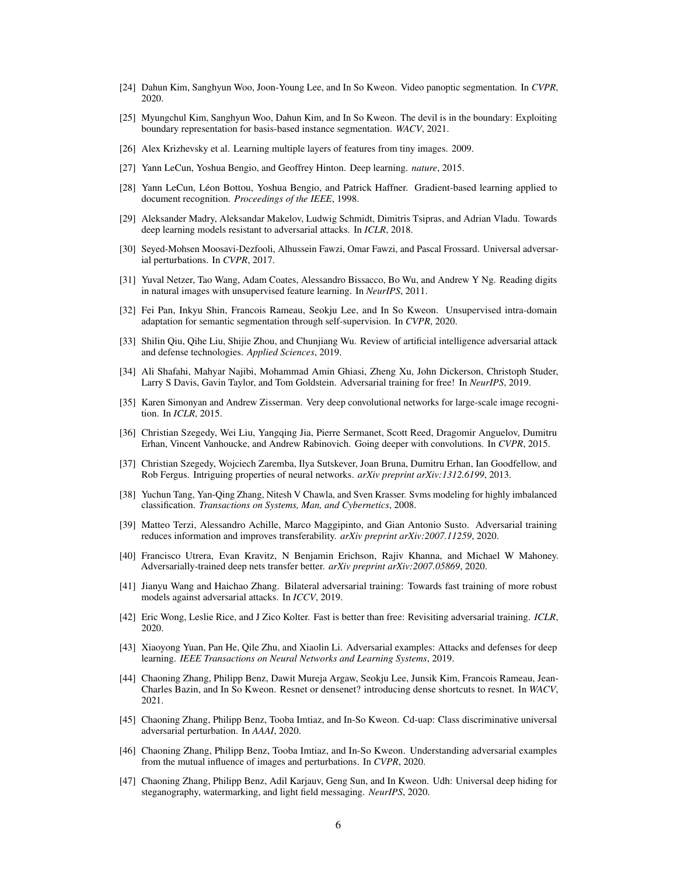- <span id="page-5-1"></span>[24] Dahun Kim, Sanghyun Woo, Joon-Young Lee, and In So Kweon. Video panoptic segmentation. In *CVPR*, 2020.
- <span id="page-5-4"></span>[25] Myungchul Kim, Sanghyun Woo, Dahun Kim, and In So Kweon. The devil is in the boundary: Exploiting boundary representation for basis-based instance segmentation. *WACV*, 2021.
- <span id="page-5-21"></span>[26] Alex Krizhevsky et al. Learning multiple layers of features from tiny images. 2009.
- <span id="page-5-0"></span>[27] Yann LeCun, Yoshua Bengio, and Geoffrey Hinton. Deep learning. *nature*, 2015.
- <span id="page-5-19"></span>[28] Yann LeCun, Léon Bottou, Yoshua Bengio, and Patrick Haffner. Gradient-based learning applied to document recognition. *Proceedings of the IEEE*, 1998.
- <span id="page-5-6"></span>[29] Aleksander Madry, Aleksandar Makelov, Ludwig Schmidt, Dimitris Tsipras, and Adrian Vladu. Towards deep learning models resistant to adversarial attacks. In *ICLR*, 2018.
- <span id="page-5-8"></span>[30] Seyed-Mohsen Moosavi-Dezfooli, Alhussein Fawzi, Omar Fawzi, and Pascal Frossard. Universal adversarial perturbations. In *CVPR*, 2017.
- <span id="page-5-20"></span>[31] Yuval Netzer, Tao Wang, Adam Coates, Alessandro Bissacco, Bo Wu, and Andrew Y Ng. Reading digits in natural images with unsupervised feature learning. In *NeurIPS*, 2011.
- <span id="page-5-2"></span>[32] Fei Pan, Inkyu Shin, Francois Rameau, Seokju Lee, and In So Kweon. Unsupervised intra-domain adaptation for semantic segmentation through self-supervision. In *CVPR*, 2020.
- <span id="page-5-11"></span>[33] Shilin Qiu, Qihe Liu, Shijie Zhou, and Chunjiang Wu. Review of artificial intelligence adversarial attack and defense technologies. *Applied Sciences*, 2019.
- <span id="page-5-14"></span>[34] Ali Shafahi, Mahyar Najibi, Mohammad Amin Ghiasi, Zheng Xu, John Dickerson, Christoph Studer, Larry S Davis, Gavin Taylor, and Tom Goldstein. Adversarial training for free! In *NeurIPS*, 2019.
- <span id="page-5-22"></span>[35] Karen Simonyan and Andrew Zisserman. Very deep convolutional networks for large-scale image recognition. In *ICLR*, 2015.
- <span id="page-5-23"></span>[36] Christian Szegedy, Wei Liu, Yangqing Jia, Pierre Sermanet, Scott Reed, Dragomir Anguelov, Dumitru Erhan, Vincent Vanhoucke, and Andrew Rabinovich. Going deeper with convolutions. In *CVPR*, 2015.
- <span id="page-5-7"></span>[37] Christian Szegedy, Wojciech Zaremba, Ilya Sutskever, Joan Bruna, Dumitru Erhan, Ian Goodfellow, and Rob Fergus. Intriguing properties of neural networks. *arXiv preprint arXiv:1312.6199*, 2013.
- <span id="page-5-18"></span>[38] Yuchun Tang, Yan-Qing Zhang, Nitesh V Chawla, and Sven Krasser. Svms modeling for highly imbalanced classification. *Transactions on Systems, Man, and Cybernetics*, 2008.
- <span id="page-5-16"></span>[39] Matteo Terzi, Alessandro Achille, Marco Maggipinto, and Gian Antonio Susto. Adversarial training reduces information and improves transferability. *arXiv preprint arXiv:2007.11259*, 2020.
- <span id="page-5-17"></span>[40] Francisco Utrera, Evan Kravitz, N Benjamin Erichson, Rajiv Khanna, and Michael W Mahoney. Adversarially-trained deep nets transfer better. *arXiv preprint arXiv:2007.05869*, 2020.
- <span id="page-5-13"></span>[41] Jianyu Wang and Haichao Zhang. Bilateral adversarial training: Towards fast training of more robust models against adversarial attacks. In *ICCV*, 2019.
- <span id="page-5-15"></span>[42] Eric Wong, Leslie Rice, and J Zico Kolter. Fast is better than free: Revisiting adversarial training. *ICLR*, 2020.
- <span id="page-5-12"></span>[43] Xiaoyong Yuan, Pan He, Qile Zhu, and Xiaolin Li. Adversarial examples: Attacks and defenses for deep learning. *IEEE Transactions on Neural Networks and Learning Systems*, 2019.
- <span id="page-5-3"></span>[44] Chaoning Zhang, Philipp Benz, Dawit Mureja Argaw, Seokju Lee, Junsik Kim, Francois Rameau, Jean-Charles Bazin, and In So Kweon. Resnet or densenet? introducing dense shortcuts to resnet. In *WACV*, 2021.
- <span id="page-5-9"></span>[45] Chaoning Zhang, Philipp Benz, Tooba Imtiaz, and In-So Kweon. Cd-uap: Class discriminative universal adversarial perturbation. In *AAAI*, 2020.
- <span id="page-5-10"></span>[46] Chaoning Zhang, Philipp Benz, Tooba Imtiaz, and In-So Kweon. Understanding adversarial examples from the mutual influence of images and perturbations. In *CVPR*, 2020.
- <span id="page-5-5"></span>[47] Chaoning Zhang, Philipp Benz, Adil Karjauv, Geng Sun, and In Kweon. Udh: Universal deep hiding for steganography, watermarking, and light field messaging. *NeurIPS*, 2020.